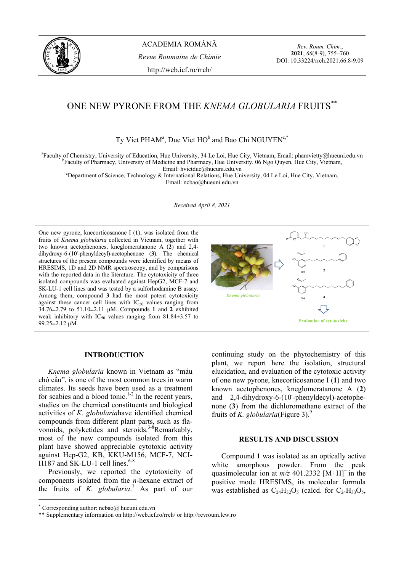

ACADEMIA ROMÂNĂ *Revue Roumaine de Chimie*  http://web.icf.ro/rrch/

*Rev. Roum. Chim.*, **2021**, *66*(8-9), 755–760 DOI: 10.33224/rrch.2021.66.8-9.09

# ONE NEW PYRONE FROM THE *KNEMA GLOBULARIA* FRUITS\*\*

Ty Viet PHAM<sup>a</sup>, Duc Viet HO<sup>b</sup> and Bao Chi NGUYEN<sup>c,\*</sup>

<sup>a</sup> Faculty of Chemistry, University of Education, Hue University, 34 Le Loi, Hue City, Vietnam, Email: phamvietty@hueuni.edu.vn<br><sup>b</sup>Eogulty of Pharmacy, University of Medicine and Pharmacy, Hue University, 06 Ngo Owen, Hue <sup>b</sup>Faculty of Pharmacy, University of Medicine and Pharmacy, Hue University, 06 Ngo Quyen, Hue City, Vietnam, Email: hvietduc@hueuni.edu.vn

Email: hvietduc@hueuni.edu.vn<br>Chepartment of Science, Technology & International Relations, Hue University, 04 Le Loi, Hue City, Vietnam, Email: ncbao@hueuni.edu.vn

*Received April 8, 2021* 

One new pyrone, knecorticosanone I (**1**), was isolated from the fruits of *Knema globularia* collected in Vietnam, together with two known acetophenones, kneglomeratanone A (**2**) and 2,4 dihydroxy-6-(10'-phenyldecyl)-acetophenone (**3**). The chemical structures of the present compounds were identified by means of HRESIMS, 1D and 2D NMR spectroscopy, and by comparisons with the reported data in the literature. The cytotoxicity of three isolated compounds was evaluated against HepG2, MCF-7 and SK-LU-1 cell lines and was tested by a sulforhodamine B assay. Among them, compound **3** had the most potent cytotoxicity against these cancer cell lines with  $IC_{50}$  values ranging from 34.76±2.79 to 51.10±2.11 μM. Compounds **1** and **2** exhibited weak inhibitory with IC<sub>50</sub> values ranging from 81.84 $\pm$ 3.57 to 99.25±2.12 μM.



## **INTRODUCTION**<sup>∗</sup>

 *Knema globularia* known in Vietnam as "máu chó cầu", is one of the most common trees in warm climates. Its seeds have been used as a treatment for scabies and a blood tonic.<sup>1-2</sup> In the recent years, studies on the chemical constituents and biological activities of *K. globularia*have identified chemical compounds from different plant parts, such as flavonoids, polyketides and steroids.<sup>3-8</sup>Remarkably, most of the new compounds isolated from this plant have showed appreciable cytotoxic activity against Hep-G2, KB, KKU-M156, MCF-7, NCI-H187 and SK-LU-1 cell lines. $6-8$ 

 Previously, we reported the cytotoxicity of components isolated from the *n*-hexane extract of the fruits of *K. globularia*. 7 As part of our

continuing study on the phytochemistry of this plant, we report here the isolation, structural elucidation, and evaluation of the cytotoxic activity of one new pyrone, knecorticosanone I (**1**) and two known acetophenones, kneglomeratanone A (**2**) and 2,4-dihydroxy-6-(10'-phenyldecyl)-acetophenone (**3**) from the dichloromethane extract of the fruits of *K. globularia*(Figure 3).<sup>9</sup>

# **RESULTS AND DISCUSSION**

 Compound **1** was isolated as an optically active white amorphous powder. From the peak quasimolecular ion at  $m/z$  401.2332 [M+H]<sup>+</sup> in the positive mode HRESIMS, its molecular formula was established as  $C_{24}H_{32}O_5$  (calcd. for  $C_{24}H_{33}O_5$ ,

<sup>∗</sup> Corresponding author: ncbao@ hueuni.edu.vn

<sup>\*\*</sup> Supplementary information on http://web.icf.ro/rrch/ or http://revroum.lew.ro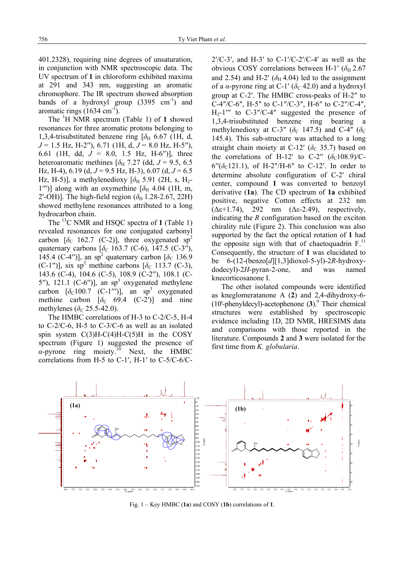401.2328), requiring nine degrees of unsaturation, in conjunction with NMR spectroscopic data. The UV spectrum of **1** in chloroform exhibited maxima at 291 and 343 nm, suggesting an aromatic chromophore. The IR spectrum showed absorption bands of a hydroxyl group  $(3395 \text{ cm}^{-1})$  and aromatic rings  $(1634 \text{ cm}^{-1})$ .

 The <sup>1</sup> H NMR spectrum (Table 1) of **1** showed resonances for three aromatic protons belonging to 1,3,4-trisubstituted benzene ring  $\delta$ <sub>H</sub> 6.67 (1H, d, *J* = 1.5 Hz, H-2′′), 6.71 (1H, d, *J* = 8.0 Hz, H-5′′), 6.61 (1H, dd, *J* = 8.0, 1.5 Hz, H-6′′)], three heteroaromatic methines  $\delta_H$  7.27 (dd,  $J = 9.5, 6.5$ ) Hz, H-4),  $6.19$  (d,  $J = 9.5$  Hz, H-3),  $6.07$  (d,  $J = 6.5$ Hz, H-5)], a methylenedioxy  $[\delta_{\text{H}}$  5.91 (2H, s, H<sub>2</sub>-1''')] along with an oxymethine  $\delta_H$  4.04 (1H, m, 2'-OH)]. The high-field region  $(\delta_H 1.28-2.67, 22H)$ showed methylene resonances attributed to a long hydrocarbon chain.

The <sup>13</sup>C NMR and HSOC spectra of **1** (Table 1) revealed resonances for one conjugated carbonyl carbon  $[\delta_c \ 162.7 \ (C-2)]$ , three oxygenated sp<sup>2</sup> quaternary carbons  $[\delta_C 163.7 (C-6), 147.5 (C-3'')$ , 145.4 (C-4")], an sp<sup>2</sup> quaternary carbon  $\lbrack \delta_C$  136.9 (C-1'')], six  $sp^2$  methine carbons [ $\delta_c$  113.7 (C-3), 143.6 (C-4), 104.6 (C-5), 108.9 (C-2′′), 108.1 (C-5''),  $121.1$  (C-6'')], an sp<sup>3</sup> oxygenated methylene carbon  $\lbrack \delta_C 100.7 \, (C-1''') \rbrack$ , an sp<sup>3</sup> oxygenated methine carbon  $\lceil \delta_C \rceil$  69.4 (C-2')] and nine methylenes ( $\delta$ <sub>C</sub> 25.5-42.0).

The HMBC correlations of H-3 to C-2/C-5, H-4 to C-2/C-6, H-5 to C-3/C-6 as well as an isolated spin system  $C(3)H-C(4)H-C(5)H$  in the COSY spectrum (Figure 1) suggested the presence of  $\alpha$ -pyrone ring moiety.<sup>10</sup> Next, the HMBC correlations from H-5 to C-1′, H-1′ to C-5/C-6/C-

 $2^{\prime}/C$ -3', and H-3' to C-1'/C-2'/C-4' as well as the obvious COSY correlations between H-1'  $(\delta_H 2.67)$ and 2.54) and H-2′ ( $\delta_H$  4.04) led to the assignment of a  $\alpha$ -pyrone ring at C-1' ( $\delta$ <sub>C</sub> 42.0) and a hydroxyl group at C-2′. The HMBC cross-peaks of H-2″ to C-4″/C-6″, H-5″ to C-1″/C-3″, H-6″ to C-2″/C-4″,  $H_2$ -1''' to C-3"/C-4" suggested the presence of 1,3,4-trisubstituted benzene ring bearing a methylenedioxy at C-3" ( $\delta$ <sub>C</sub> 147.5) and C-4" ( $\delta$ <sub>C</sub> 145.4). This sub-structure was attached to a long straight chain moiety at C-12′ ( $\delta$ <sub>C</sub> 35.7) based on the correlations of H-12' to C-2"  $(\delta_c 108.9)$ /C- $6''(\delta_c 121.1)$ , of H-2"/H-6" to C-12'. In order to determine absolute configuration of C-2′ chiral center, compound **1** was converted to benzoyl derivative (**1a**). The CD spectrum of **1a** exhibited positive, negative Cotton effects at 232 nm ( $\Delta \epsilon + 1.74$ ), 292 nm ( $\Delta \epsilon$ -2.49), respectively, indicating the *R* configuration based on the exciton chirality rule (Figure 2). This conclusion was also supported by the fact the optical rotation of **1** had the opposite sign with that of chaetoquadrin  $F<sup>11</sup>$ . Consequently, the structure of **1** was elucidated to be 6-(12-(benzo[*d*][1,3]dioxol-5-yl)-2*R*-hydroxydodecyl)-2*H*-pyran-2-one, and was named knecorticosanone I.

The other isolated compounds were identified as kneglomeratanone A (**2**) and 2,4-dihydroxy-6-  $(10)$ -phenyldecyl)-acetophenone  $(3)$ . Their chemical structures were established by spectroscopic evidence including 1D, 2D NMR, HRESIMS data and comparisons with those reported in the literature. Compounds **2** and **3** were isolated for the first time from *K. globularia*.



Fig. 1 – Key HMBC (**1a**) and COSY (**1b**) correlations of **1**.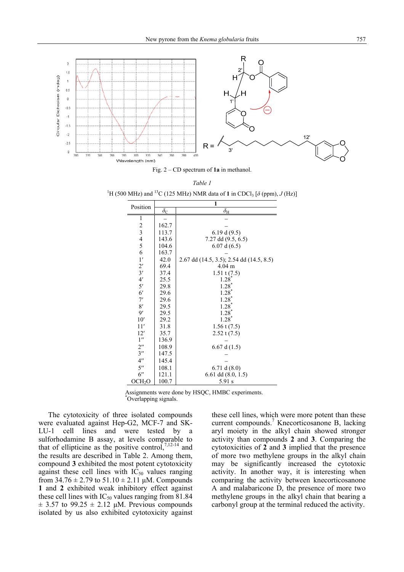

Fig. 2 – CD spectrum of **1a** in methanol.

| ۰,<br>٦ |  |
|---------|--|
|---------|--|

<sup>1</sup>H (500 MHz) and <sup>13</sup>C (125 MHz) NMR data of **1** in CDCl<sub>3</sub> [ $\delta$  (ppm), *J* (Hz)]

| Position                        | 1                |                                          |  |  |
|---------------------------------|------------------|------------------------------------------|--|--|
|                                 | $\delta_{\rm C}$ | $\delta_{\rm H}$                         |  |  |
| 1                               |                  |                                          |  |  |
| $\overline{\mathbf{c}}$         | 162.7            |                                          |  |  |
| $\overline{\mathbf{3}}$         | 113.7            | 6.19 d(9.5)                              |  |  |
| $\frac{4}{5}$                   | 143.6            | 7.27 dd $(9.5, 6.5)$                     |  |  |
|                                 | 104.6            | 6.07 d(6.5)                              |  |  |
| 6                               | 163.7            |                                          |  |  |
| 1'                              | 42.0             | 2.67 dd (14.5, 3.5); 2.54 dd (14.5, 8.5) |  |  |
|                                 | 69.4             | $4.04 \text{ m}$                         |  |  |
| $\frac{2^{\prime}}{3^{\prime}}$ | 37.4             | $1.51 \text{ t} (7.5)$                   |  |  |
|                                 | 25.5             | 1.28                                     |  |  |
| 5'                              | 29.8             | $1.28$ <sup>*</sup>                      |  |  |
| $6^{\prime}$                    | 29.6             | $1.28$ <sup>*</sup>                      |  |  |
| 7'                              | 29.6             | $1.28$ <sup>*</sup>                      |  |  |
| 8'                              | 29.5             | $1.28*$                                  |  |  |
| $\overline{9}$                  | 29.5             | $1.28*$                                  |  |  |
| 10'                             | 29.2             | $1.28*$                                  |  |  |
| 11'                             | 31.8             | $1.56$ t $(7.5)$                         |  |  |
| 12'                             | 35.7             | $2.52$ t (7.5)                           |  |  |
| 1 <sup>''</sup>                 | 136.9            |                                          |  |  |
| $2^{\prime\prime}$              | 108.9            | 6.67 d $(1.5)$                           |  |  |
| 3''                             | 147.5            |                                          |  |  |
| $4^{\prime\prime}$              | 145.4            |                                          |  |  |
| $5^{\prime\prime}$              | 108.1            | 6.71 d $(8.0)$                           |  |  |
| 6"                              | 121.1            | $6.61$ dd $(8.0, 1.5)$                   |  |  |
| OCH <sub>2</sub> O              | 100.7            | 5.91 s                                   |  |  |

Assignments were done by HSQC, HMBC experiments. \* Overlapping signals.

 The cytotoxicity of three isolated compounds were evaluated against Hep-G2, MCF-7 and SK-LU-1 cell lines and were tested by a sulforhodamine B assay, at levels comparable to that of ellipticine as the positive control,  $7,12-14$  and the results are described in Table 2. Among them, compound **3** exhibited the most potent cytotoxicity against these cell lines with  $IC_{50}$  values ranging from  $34.76 \pm 2.79$  to  $51.10 \pm 2.11$   $\mu$ M. Compounds **1** and **2** exhibited weak inhibitory effect against these cell lines with  $IC_{50}$  values ranging from 81.84  $\pm$  3.57 to 99.25  $\pm$  2.12  $\mu$ M. Previous compounds isolated by us also exhibited cytotoxicity against

these cell lines, which were more potent than these current compounds.<sup>7</sup> Knecorticosanone B, lacking aryl moiety in the alkyl chain showed stronger activity than compounds **2** and **3**. Comparing the cytotoxicities of **2** and **3** implied that the presence of more two methylene groups in the alkyl chain may be significantly increased the cytotoxic activity. In another way, it is interesting when comparing the activity between knecorticosanone A and malabaricone D, the presence of more two methylene groups in the alkyl chain that bearing a carbonyl group at the terminal reduced the activity.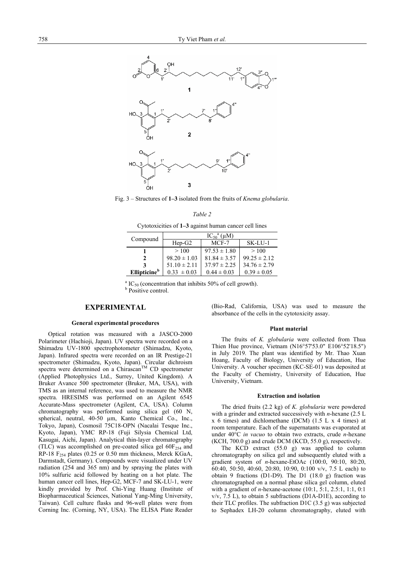

Fig. 3 – Structures of **1–3** isolated from the fruits of *Knema globularia*.

Cytotoxicities of **1–3** against human cancer cell lines

| Compound                        | $IC_{50}$ <sup>a</sup> ( $\mu$ M) |                  |                  |  |
|---------------------------------|-----------------------------------|------------------|------------------|--|
|                                 | $Hep-G2$                          | MCF-7            | SK-LU-1          |  |
|                                 | >100                              | $97.53 \pm 1.80$ | >100             |  |
| 2                               | $98.20 \pm 1.03$                  | $81.84 \pm 3.57$ | $99.25 \pm 2.12$ |  |
| 3                               | $51.10 \pm 2.11$                  | $37.97 \pm 2.25$ | $34.76 \pm 2.79$ |  |
| <b>Ellipticine</b> <sup>b</sup> | $0.33 \pm 0.03$                   | $0.44 \pm 0.03$  | $0.39 \pm 0.05$  |  |

 $^{a}$  IC<sub>50</sub> (concentration that inhibits 50% of cell growth). **b** Positive control.

### **EXPERIMENTAL**

#### **General experimental procedures**

 Optical rotation was measured with a JASCO-2000 Polarimeter (Hachioji, Japan). UV spectra were recorded on a Shimadzu UV-1800 spectrophotometer (Shimadzu, Kyoto, Japan). Infrared spectra were recorded on an IR Prestige-21 spectrometer (Shimadzu, Kyoto, Japan). Circular dichroism spectra were determined on a Chirascan<sup>TM</sup> CD spectrometer (Applied Photophysics Ltd., Surrey, United Kingdom). A Bruker Avance 500 spectrometer (Bruker, MA, USA), with TMS as an internal reference, was used to measure the NMR spectra. HRESIMS was performed on an Agilent 6545 Accurate-Mass spectrometer (Agilent, CA, USA). Column chromatography was performed using silica gel (60 N, spherical, neutral, 40-50 µm, Kanto Chemical Co., Inc., Tokyo, Japan), Cosmosil 75C18-OPN (Nacalai Tesque Inc., Kyoto, Japan), YMC RP-18 (Fuji Silysia Chemical Ltd, Kasugai, Aichi, Japan). Analytical thin-layer chromatography (TLC) was accomplished on pre-coated silica gel  $60F_{254}$  and RP-18 F<sub>254</sub> plates (0.25 or 0.50 mm thickness, Merck KGaA, Darmstadt, Germany). Compounds were visualized under UV radiation (254 and 365 nm) and by spraying the plates with 10% sulfuric acid followed by heating on a hot plate. The human cancer cell lines, Hep-G2, MCF-7 and SK-LU-1, were kindly provided by Prof. Chi-Ying Huang (Institute of Biopharmaceutical Sciences, National Yang-Ming University, Taiwan). Cell culture flasks and 96-well plates were from Corning Inc. (Corning, NY, USA). The ELISA Plate Reader

(Bio-Rad, California, USA) was used to measure the absorbance of the cells in the cytotoxicity assay.

#### **Plant material**

 The fruits of *K. globularia* were collected from Thua Thien Hue province, Vietnam (N16°57'53.0" E106°52'18.5") in July 2019. The plant was identified by Mr. Thao Xuan Hoang, Faculty of Biology, University of Education, Hue University. A voucher specimen (KC-SE-01) was deposited at the Faculty of Chemistry, University of Education, Hue University, Vietnam.

#### **Extraction and isolation**

 The dried fruits (2.2 kg) of *K. globularia* were powdered with a grinder and extracted successively with *n*-hexane (2.5 L x 6 times) and dichlomethane (DCM) (1.5 L x 4 times) at room temperature. Each of the supernatants was evaporated at under 40°C *in vacuo* to obtain two extracts, crude *n*-hexane (KCH, 700.0 g) and crude DCM (KCD, 55.0 g), respectively.

 The KCD extract (55.0 g) was applied to column chromatography on silica gel and subsequently eluted with a gradient system of *n*-hexane-EtOAc (100:0, 90:10, 80:20, 60:40, 50:50, 40:60, 20:80, 10:90, 0:100 v/v, 7.5 L each) to obtain 9 fractions (D1-D9). The D1 (18.0 g) fraction was chromatographed on a normal phase silica gel column, eluted with a gradient of *n*-hexane-acetone (10:1, 5:1, 2.5:1, 1:1, 0:1  $v/v$ , 7.5 L), to obtain 5 subfractions (D1A-D1E), according to their TLC profiles. The subfraction D1C (3.5 g) was subjected to Sephadex LH-20 column chromatography, eluted with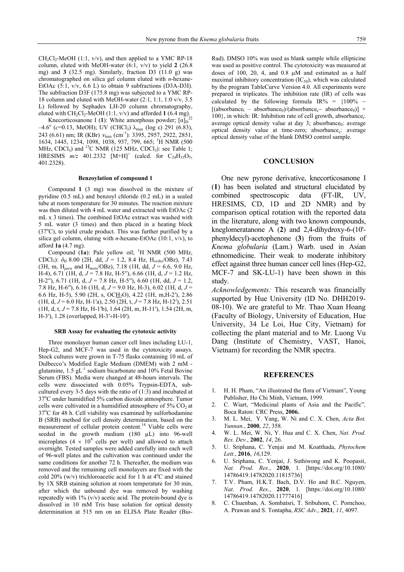$CH_2Cl_2-MeOH$  (1:1, v/v), and then applied to a YMC RP-18 column, eluted with MeOH-water (6:1, v/v) to yield **2** (26.8 mg) and **3** (32.5 mg). Similarly, fraction D3 (11.0 g) was chromatographed on silica gel column eluted with *n*-hexane-EtOAc  $(5:1, v/v, 6.6 L)$  to obtain 9 subfractions (D3A-D3I). The subfraction D3F (175.8 mg) was subjected to a YMC RP-18 column and eluted with MeOH-water (2:1, 1:1, 1:0 v/v, 3.5 L) followed by Sephadex LH-20 column chromatography, eluted with  $CH_2Cl_2$ -MeOH (1:1, v/v) and afforded 1 (6.4 mg).<br> **Expressions** F(1): White american powder [o]  $^{22}$ 

Knecorticosanone I (1): White amorphous powder;  $\lceil \alpha \rceil_D$  $-4.6^{\circ}$  (*c*=0.13, MeOH); UV (CHCl<sub>3</sub>) λ<sub>max</sub> (log ε) 291 (6.83), 243 (6.61) nm; IR (KBr)  $v_{\text{max}}$  (cm<sup>-1</sup>): 3395, 2957, 2922, 2851, 1634, 1445, 1234, 1098, 1038, 937, 799, 665; <sup>1</sup> H NMR (500 MHz, CDCl<sub>3</sub>) and <sup>13</sup>C NMR (125 MHz, CDCl<sub>3</sub>): see Table 1; HRESIMS  $m/z$  401.2332 [M+H]<sup>+</sup> (calcd. for C<sub>24</sub>H<sub>33</sub>O<sub>5</sub>, 401.2328).

#### **Benzoylation of compound 1**

 Compound **1** (3 mg) was dissolved in the mixture of pyridine (0.5 mL) and benzoyl chloride (0.2 mL) in a sealed tube at room temperature for 30 minutes. The reaction mixture was then diluted with 4 mL water and extracted with EtOAc (2 mL x 3 times). The combined EtOAc extract was washed with 5 mL water (3 times) and then placed in a heating block (37°C), to yield crude product. This was further purified by a silica gel column, eluting with *n*-hexane-EtOAc (10:1, v/v), to afford **1a** (4.7 mg).

Compound  $(1a)$ : Pale yellow oil; <sup>1</sup>H NMR (500 MHz, CDCl<sub>3</sub>):  $\delta_{\text{H}}$  8.00 (2H, dd,  $J = 1.2$ , 8.4 Hz, H<sub>ortho</sub>/OBz), 7.43 (3H, m, H*para* and H*meta*/OBz), 7.18 (1H, dd, *J* = 6.6, 9.0 Hz, H-4), 6.71 (1H, d, *J* = 7.8 Hz, H-5′′), 6.66 (1H, d, *J* = 1.2 Hz, H-2′′), 6.71 (1H, d, *J* = 7.8 Hz, H-5′′), 6.60 (1H, dd, *J* = 1.2, 7.8 Hz, H-6′′), 6.16 (1H, d, *J* = 9.0 Hz, H-3), 6.02 (1H, d, *J* = 6.6 Hz, H-5), 5.90 (2H, s, OC $H_2$ O), 4.22 (1H, m, H-2'), 2.86 (1H, d, *J* = 6.0 Hz, H-1′a), 2.50 (2H, t, *J* = 7.8 Hz, H-12′), 2.51 (1H, d, t, *J* = 7.8 Hz, H-1′b), 1.64 (2H, m, H-11′), 1.54 (2H, m, H-3′), 1.28 (overlapped, H-3′÷H-10′).

#### **SRB Assay for evaluating the cytotoxic activity**

 Three monolayer human cancer cell lines including LU-1, Hep-G2, and MCF-7 was used in the cytotoxicity assays. Stock cultures were grown in T-75 flasks containing 10 mL of Dulbecco's Modified Eagle Medium (DMEM) with 2 mM glutamine,  $1.5$  gL<sup>-1</sup> sodium bicarbonate and  $10\%$  Fetal Bovine Serum (FBS). Media were changed at 48-hours intervals. The cells were dissociated with 0.05% Trypsin-EDTA, subcultured every 3-5 days with the ratio of (1:3) and incubated at 37°C under humidified 5% carbon dioxide atmosphere. Tumor cells were cultivated in a humidified atmosphere of  $5\%$  CO<sub>2</sub> at 37°C for 48 h. Cell viability was examined by sulforhodamine B (SRB) method for cell density determination, based on the measurement of cellular protein content.<sup>14</sup> Viable cells were seeded in the growth medium (180 µL) into 96-well microplates  $(4 \times 10^4$  cells per well) and allowed to attach overnight. Tested samples were added carefully into each well of 96-well plates and the cultivation was continued under the same conditions for another 72 h. Thereafter, the medium was removed and the remaining cell monolayers are fixed with the cold 20% (w/v) trichloroacetic acid for 1 h at  $4^{\circ}$ C and stained by 1X SRB staining solution at room temperature for 30 min, after which the unbound dye was removed by washing repeatedly with  $1\%$  (v/v) acetic acid. The protein-bound dye is dissolved in 10 mM Tris base solution for optical density determination at 515 nm on an ELISA Plate Reader (BioRad). DMSO 10% was used as blank sample while ellipticine was used as positive control. The cytotoxicity was measured at doses of 100, 20, 4, and 0.8 μM and estimated as a half maximal inhibitory concentration  $(IC_{50})$ , which was calculated by the program TableCurve Version 4.0. All experiments were prepared in triplicates. The inhibition rate (IR) of cells was calculated by the following formula IR% =  ${100\% [(absorbane<sub>t</sub> - absorbane<sub>0</sub>)/(absorbane<sub>c</sub> - absorbane<sub>0</sub>)] \times$  $100$ }, in which: IR: Inhibition rate of cell growth, absorbance<sub>t</sub>: average optical density value at day 3; absorbance $<sub>0</sub>$ : average</sub> optical density value at time-zero; absorbance<sub>c</sub>: average optical density value of the blank DMSO control sample.

#### **CONCLUSION**

 One new pyrone derivative, knecorticosanone I (**1**) has been isolated and structural elucidated by combined spectroscopic data (FT-IR, UV, HRESIMS, CD, 1D and 2D NMR) and by comparison optical rotation with the reported data in the literature, along with two known compounds, kneglomeratanone A (**2**) and 2,4-dihydroxy-6-(10' phenyldecyl)-acetophenone (**3**) from the fruits of *Knema globularia* (Lam.) Warb. used in Asian ethnomedicine. Their weak to moderate inhibitory effect against three human cancer cell lines (Hep-G2, MCF-7 and SK-LU-1) have been shown in this study.

*Acknowledgements:* This research was financially supported by Hue University (ID No. DHH2019- 08-10). We are grateful to Mr. Thao Xuan Hoang (Faculty of Biology, University of Education, Hue University, 34 Le Loi, Hue City, Vietnam) for collecting the plant material and to Mr. Luong Vu Dang (Institute of Chemistry, VAST, Hanoi, Vietnam) for recording the NMR spectra.

#### **REFERENCES**

- 1. H. H. Pham, "An illustrated the flora of Vietnam", Young Publisher, Ho Chi Minh, Vietnam, 1999.
- 2. C. Wiart, "Medicinal plants of Asia and the Pacific"*,* Boca Raton: CRC Press, **2006.**
- 3. M. L. Mei, Y. Yang, W. Ni and C. X. Chen, *Acta Bot. Yunnan.*, **2000**, *22*, 358.
- 4. W. L. Mei, W. Ni, Y. Hua and C. X. Chen, *Nat. Prod. Res. Dev.*, **2002**, *14*, 26.
- 5. U. Sriphana, C. Yenjai and M. Koatthada, *Phytochem Lett.*, **2016**, *16*,129.
- 6. U. Sriphana, C. Yenjai, J. Suthiwong and K. Poopasit, *Nat. Prod. Res.*, **2020**, 1. [https://doi.org/10.1080/ 14786419.14782020.11815736]
- 7. T.V. Pham, H.K.T. Bach, D.V. Ho and B.C. Nguyen, *Nat. Prod. Res.*, **2020**, 1. [https://doi.org/10.1080/ 14786419.14782020.11777416]
- 8. C. Chuenban, A. Sombatsri, T. Sribuhom, C. Pornchoo, A. Prawan and S. Tontapha, *RSC Adv.*, **2021**, *11*, 4097.